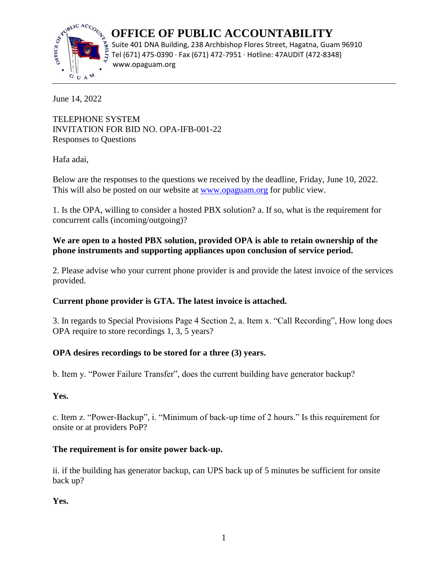

 **OFFICE OF PUBLIC ACCOUNTABILITY** Suite 401 DNA Building, 238 Archbishop Flores Street, Hagatna, Guam 96910 Tel (671) 475-0390 · Fax (671) 472-7951 · Hotline: 47AUDIT (472-8348)

June 14, 2022

TELEPHONE SYSTEM INVITATION FOR BID NO. OPA-IFB-001-22 Responses to Questions

Hafa adai,

Below are the responses to the questions we received by the deadline, Friday, June 10, 2022. This will also be posted on our website at [www.opaguam.org](http://www.opaguam.org/) for public view.

1. Is the OPA, willing to consider a hosted PBX solution? a. If so, what is the requirement for concurrent calls (incoming/outgoing)?

# **We are open to a hosted PBX solution, provided OPA is able to retain ownership of the phone instruments and supporting appliances upon conclusion of service period.**

2. Please advise who your current phone provider is and provide the latest invoice of the services provided.

# **Current phone provider is GTA. The latest invoice is attached.**

3. In regards to Special Provisions Page 4 Section 2, a. Item x. "Call Recording", How long does OPA require to store recordings 1, 3, 5 years?

# **OPA desires recordings to be stored for a three (3) years.**

b. Item y. "Power Failure Transfer", does the current building have generator backup?

## **Yes.**

c. Item z. "Power-Backup", i. "Minimum of back-up time of 2 hours." Is this requirement for onsite or at providers PoP?

# **The requirement is for onsite power back-up.**

ii. if the building has generator backup, can UPS back up of 5 minutes be sufficient for onsite back up?

**Yes.**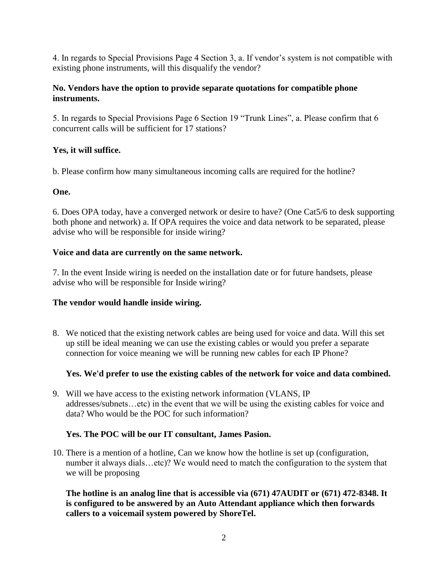4. In regards to Special Provisions Page 4 Section 3, a. If vendor's system is not compatible with existing phone instruments, will this disqualify the vendor?

## **No. Vendors have the option to provide separate quotations for compatible phone instruments.**

5. In regards to Special Provisions Page 6 Section 19 "Trunk Lines", a. Please confirm that 6 concurrent calls will be sufficient for 17 stations?

## **Yes, it will suffice.**

b. Please confirm how many simultaneous incoming calls are required for the hotline?

#### **One.**

6. Does OPA today, have a converged network or desire to have? (One Cat5/6 to desk supporting both phone and network) a. If OPA requires the voice and data network to be separated, please advise who will be responsible for inside wiring?

#### **Voice and data are currently on the same network.**

7. In the event Inside wiring is needed on the installation date or for future handsets, please advise who will be responsible for Inside wiring?

#### **The vendor would handle inside wiring.**

8. We noticed that the existing network cables are being used for voice and data. Will this set up still be ideal meaning we can use the existing cables or would you prefer a separate connection for voice meaning we will be running new cables for each IP Phone?

## **Yes. We'd prefer to use the existing cables of the network for voice and data combined.**

9. Will we have access to the existing network information (VLANS, IP addresses/subnets…etc) in the event that we will be using the existing cables for voice and data? Who would be the POC for such information?

#### **Yes. The POC will be our IT consultant, James Pasion.**

10. There is a mention of a hotline, Can we know how the hotline is set up (configuration, number it always dials...etc)? We would need to match the configuration to the system that we will be proposing

**The hotline is an analog line that is accessible via (671) 47AUDIT or (671) 472-8348. It is configured to be answered by an Auto Attendant appliance which then forwards callers to a voicemail system powered by ShoreTel.**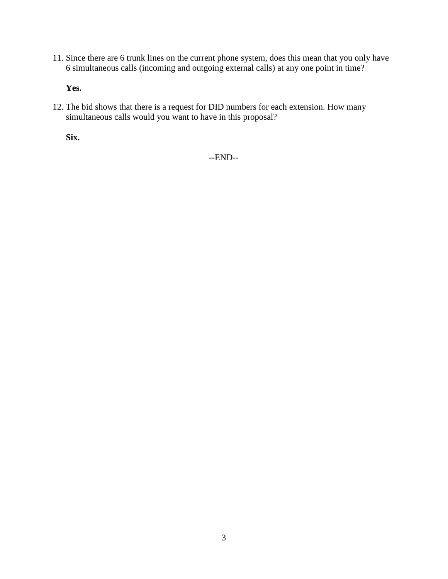11. Since there are 6 trunk lines on the current phone system, does this mean that you only have 6 simultaneous calls (incoming and outgoing external calls) at any one point in time?

**Yes.**

12. The bid shows that there is a request for DID numbers for each extension. How many simultaneous calls would you want to have in this proposal?

**Six.**

--END--